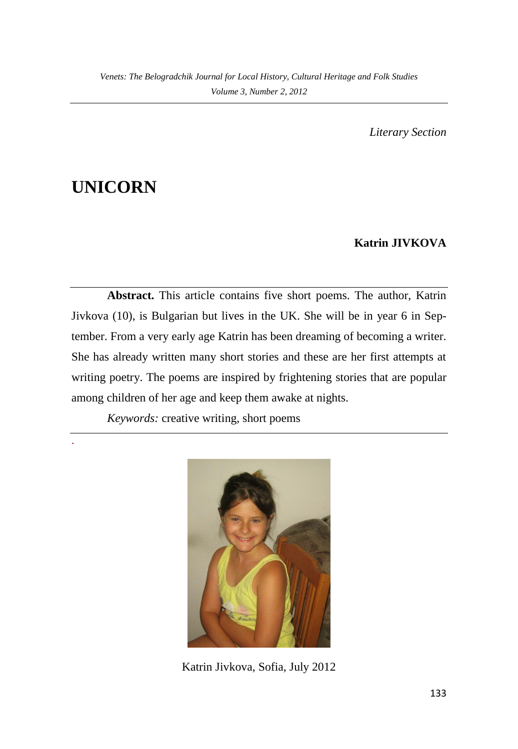*Literary Section*

# **UNICORN**

.

## **Katrin JIVKOVA**

**Abstract.** This article contains five short poems. The author, Katrin Jivkova (10), is Bulgarian but lives in the UK. She will be in year 6 in September. From a very early age Katrin has been dreaming of becoming a writer. She has already written many short stories and these are her first attempts at writing poetry. The poems are inspired by frightening stories that are popular among children of her age and keep them awake at nights.

*Keywords:* creative writing, short poems



Katrin Jivkova, Sofia, July 2012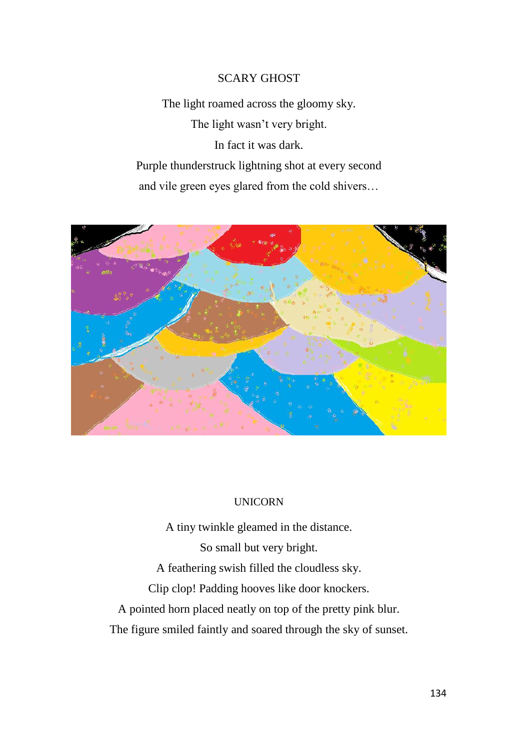#### SCARY GHOST

The light roamed across the gloomy sky. The light wasn't very bright. In fact it was dark. Purple thunderstruck lightning shot at every second and vile green eyes glared from the cold shivers…



#### UNICORN

A tiny twinkle gleamed in the distance. So small but very bright. A feathering swish filled the cloudless sky. Clip clop! Padding hooves like door knockers. A pointed horn placed neatly on top of the pretty pink blur. The figure smiled faintly and soared through the sky of sunset.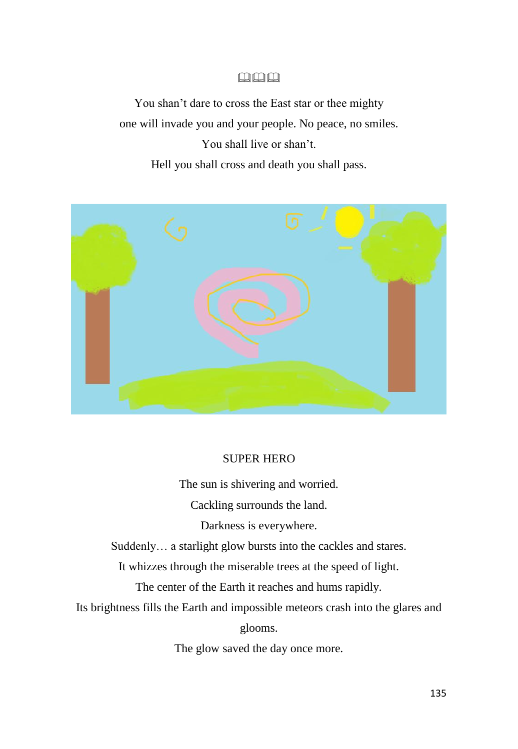### 中中中

You shan't dare to cross the East star or thee mighty one will invade you and your people. No peace, no smiles. You shall live or shan't. Hell you shall cross and death you shall pass.



#### SUPER HERO

The sun is shivering and worried.

Cackling surrounds the land.

Darkness is everywhere.

Suddenly… a starlight glow bursts into the cackles and stares.

It whizzes through the miserable trees at the speed of light.

The center of the Earth it reaches and hums rapidly.

Its brightness fills the Earth and impossible meteors crash into the glares and

glooms.

The glow saved the day once more.